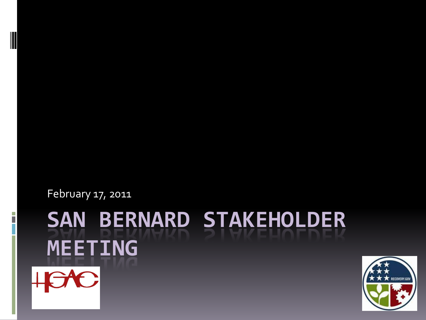February 17, 2011

I

# **SAN BERNARD STAKEHOLDER MEETING** HCAC

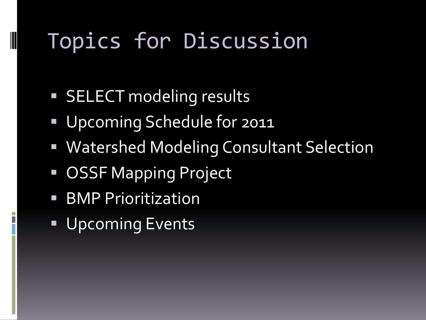### Topics for Discussion

- **SELECT modeling results**
- **Upcoming Schedule for 2011**
- Watershed Modeling Consultant Selection
- OSSF Mapping Project
- **BMP Prioritization**

**Upcoming Events**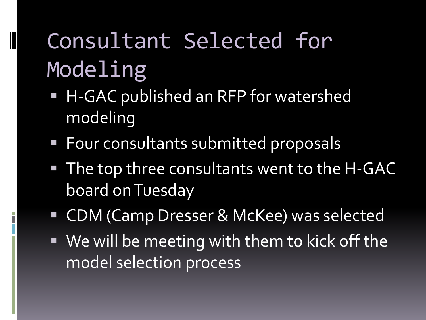## Consultant Selected for Modeling

- H-GAC published an RFP for watershed modeling
- **Four consultants submitted proposals**
- The top three consultants went to the H-GAC board on Tuesday
- CDM (Camp Dresser & McKee) was selected
- We will be meeting with them to kick off the model selection process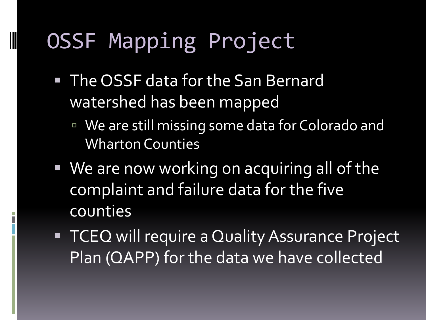#### OSSF Mapping Project

- **The OSSF data for the San Bernard** watershed has been mapped
	- We are still missing some data for Colorado and Wharton Counties
- **We are now working on acquiring all of the** complaint and failure data for the five counties
- **TCEQ will require a Quality Assurance Project** Plan (QAPP) for the data we have collected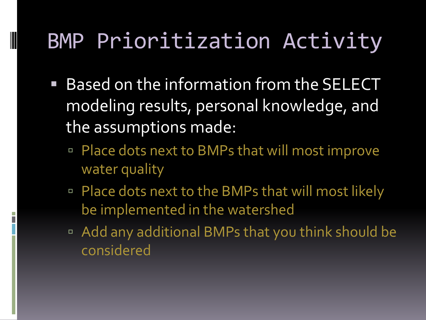#### BMP Prioritization Activity

- Based on the information from the SELECT modeling results, personal knowledge, and the assumptions made:
	- Place dots next to BMPs that will most improve water quality
	- □ Place dots next to the BMPs that will most likely be implemented in the watershed
	- Add any additional BMPs that you think should be considered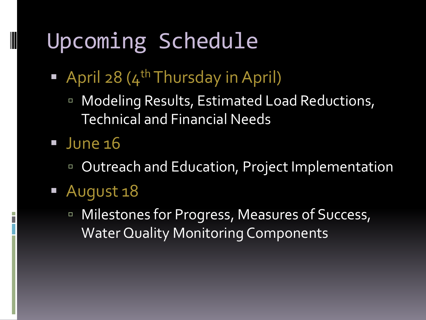#### Upcoming Schedule

- April 28  $(4^{\text{th}}$ Thursday in April)
	- **E** Modeling Results, Estimated Load Reductions, Technical and Financial Needs

#### $\blacksquare$  June 16

- Outreach and Education, Project Implementation
- August 18
	- **EXECUTE: Milestones for Progress, Measures of Success,** Water Quality Monitoring Components